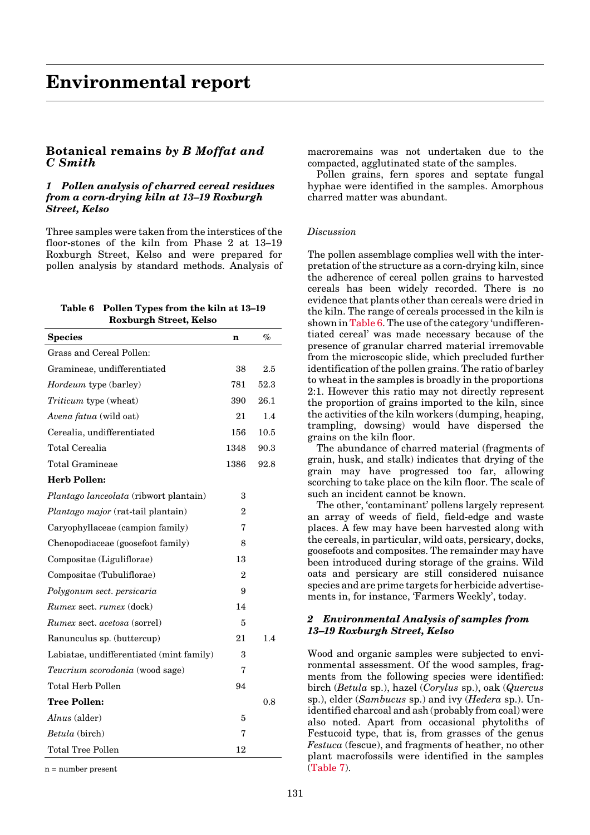# **Botanical remains** *by B Moffat and C Smith*

### *1 Pollen analysis of charred cereal residues from a corn-drying kiln at 13–19 Roxburgh Street, Kelso*

Three samples were taken from the interstices of the floor-stones of the kiln from Phase 2 at 13–19 Roxburgh Street, Kelso and were prepared for pollen analysis by standard methods. Analysis of

## **Table 6 Pollen Types from the kiln at 13–19 Roxburgh Street, Kelso**

| <b>Species</b>                            | n              | $\%$ |
|-------------------------------------------|----------------|------|
| Grass and Cereal Pollen:                  |                |      |
| Gramineae, undifferentiated               | 38             | 2.5  |
| <i>Hordeum</i> type (barley)              | 781            | 52.3 |
| Triticum type (wheat)                     | 390            | 26.1 |
| Avena fatua (wild oat)                    | 21             | 1.4  |
| Cerealia, undifferentiated                | 156            | 10.5 |
| Total Cerealia                            | 1348           | 90.3 |
| <b>Total Gramineae</b>                    | 1386           | 92.8 |
| <b>Herb Pollen:</b>                       |                |      |
| Plantago lanceolata (ribwort plantain)    | 3              |      |
| <i>Plantago major</i> (rat-tail plantain) | 2              |      |
| Caryophyllaceae (campion family)          | 7              |      |
| Chenopodiaceae (goosefoot family)         | 8              |      |
| Compositae (Liguliflorae)                 | 13             |      |
| Compositae (Tubuliflorae)                 | $\overline{2}$ |      |
| Polygonum sect. persicaria                | 9              |      |
| <i>Rumex sect. rumex</i> (dock)           | 14             |      |
| <i>Rumex sect. acetosa</i> (sorrel)       | 5              |      |
| Ranunculus sp. (buttercup)                | 21             | 1.4  |
| Labiatae, undifferentiated (mint family)  | 3              |      |
| Teucrium scorodonia (wood sage)           | 7              |      |
| Total Herb Pollen                         | 94             |      |
| <b>Tree Pollen:</b>                       |                | 0.8  |
| Alnus (alder)                             | 5              |      |
| <i>Betula</i> (birch)                     | 7              |      |
| Total Tree Pollen                         | 12             |      |

 $n =$  number present.

macroremains was not undertaken due to the compacted, agglutinated state of the samples.

Pollen grains, fern spores and septate fungal hyphae were identified in the samples. Amorphous charred matter was abundant.

# *Discussion*

The pollen assemblage complies well with the interpretation of the structure as a corn-drying kiln, since the adherence of cereal pollen grains to harvested cereals has been widely recorded. There is no evidence that plants other than cereals were dried in the kiln. The range of cereals processed in the kiln is shown in Table 6. The use of the category 'undifferentiated cereal' was made necessary because of the presence of granular charred material irremovable from the microscopic slide, which precluded further identification of the pollen grains. The ratio of barley to wheat in the samples is broadly in the proportions 2:1. However this ratio may not directly represent the proportion of grains imported to the kiln, since the activities of the kiln workers (dumping, heaping, trampling, dowsing) would have dispersed the grains on the kiln floor.

The abundance of charred material (fragments of grain, husk, and stalk) indicates that drying of the grain may have progressed too far, allowing scorching to take place on the kiln floor. The scale of such an incident cannot be known.

The other, 'contaminant' pollens largely represent an array of weeds of field, field-edge and waste places. A few may have been harvested along with the cereals, in particular, wild oats, persicary, docks, goosefoots and composites. The remainder may have been introduced during storage of the grains. Wild oats and persicary are still considered nuisance species and are prime targets for herbicide advertisements in, for instance, 'Farmers Weekly', today.

## *2 Environmental Analysis of samples from 13–19 Roxburgh Street, Kelso*

Wood and organic samples were subjected to environmental assessment. Of the wood samples, fragments from the following species were identified: birch (*Betula* sp.), hazel (*Corylus* sp.), oak (*Quercus* sp.), elder (*Sambucus* sp.) and ivy (*Hedera* sp.). Unidentified charcoal and ash (probably from coal) were also noted. Apart from occasional phytoliths of Festucoid type, that is, from grasses of the genus *Festuca* (fescue), and fragments of heather, no other plant macrofossils were identified in the samples (Table 7).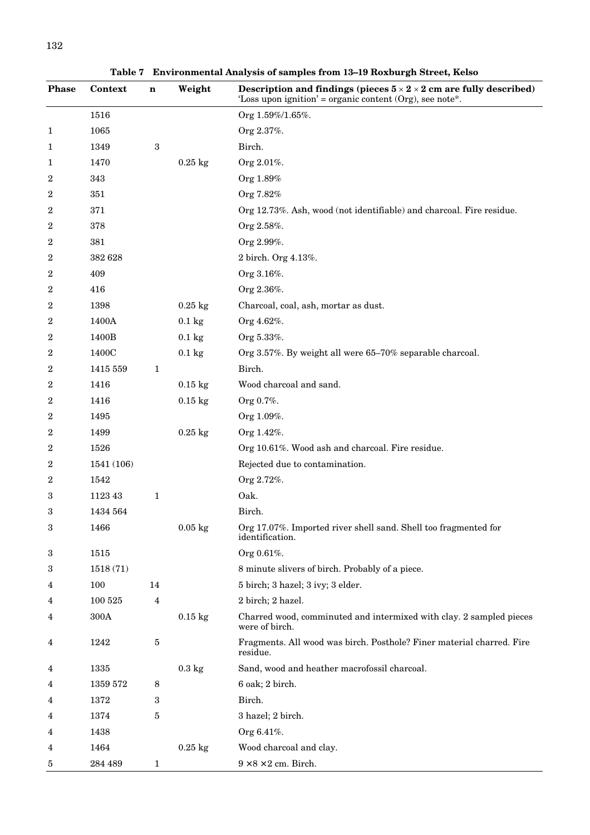**Table 7 Environmental Analysis of samples from 13–19 Roxburgh Street, Kelso**

| <b>Phase</b> | Context         | $\mathbf n$  | Weight           | Description and findings (pieces $5 \times 2 \times 2$ cm are fully described)<br>'Loss upon ignition' = organic content $(Org)$ , see note*. |
|--------------|-----------------|--------------|------------------|-----------------------------------------------------------------------------------------------------------------------------------------------|
|              | 1516            |              |                  | Org 1.59%/1.65%.                                                                                                                              |
| 1            | 1065            |              |                  | Org 2.37%.                                                                                                                                    |
| 1            | 1349            | 3            |                  | Birch.                                                                                                                                        |
| 1            | 1470            |              | $0.25$ kg        | Org 2.01%.                                                                                                                                    |
| 2            | 343             |              |                  | Org 1.89%                                                                                                                                     |
| 2            | 351             |              |                  | Org 7.82%                                                                                                                                     |
| 2            | 371             |              |                  | Org 12.73%. Ash, wood (not identifiable) and charcoal. Fire residue.                                                                          |
| 2            | 378             |              |                  | Org 2.58%.                                                                                                                                    |
| 2            | 381             |              |                  | Org 2.99%.                                                                                                                                    |
| 2            | 382 628         |              |                  | 2 birch. Org 4.13%.                                                                                                                           |
| 2            | 409             |              |                  | Org 3.16%.                                                                                                                                    |
| 2            | 416             |              |                  | Org 2.36%.                                                                                                                                    |
| 2            | 1398            |              | $0.25$ kg        | Charcoal, coal, ash, mortar as dust.                                                                                                          |
| 2            | 1400A           |              | $0.1 \text{ kg}$ | Org 4.62%.                                                                                                                                    |
| 2            | 1400B           |              | $0.1 \text{ kg}$ | Org 5.33%.                                                                                                                                    |
| 2            | 1400C           |              | $0.1 \text{ kg}$ | Org 3.57%. By weight all were 65-70% separable charcoal.                                                                                      |
| 2            | 1415 559        | 1            |                  | Birch.                                                                                                                                        |
| 2            | 1416            |              | $0.15$ kg        | Wood charcoal and sand.                                                                                                                       |
| 2            | 1416            |              | $0.15$ kg        | Org 0.7%.                                                                                                                                     |
| 2            | 1495            |              |                  | Org 1.09%.                                                                                                                                    |
| 2            | 1499            |              | $0.25$ kg        | Org 1.42%.                                                                                                                                    |
| 2            | 1526            |              |                  | Org 10.61%. Wood ash and charcoal. Fire residue.                                                                                              |
| 2            | 1541 (106)      |              |                  | Rejected due to contamination.                                                                                                                |
| 2            | 1542            |              |                  | Org 2.72%.                                                                                                                                    |
| 3            | 1123 43         | $\mathbf{1}$ |                  | Oak.                                                                                                                                          |
| 3            | 1434 564        |              |                  | Birch.                                                                                                                                        |
| $\rm 3$      | 1466            |              | $0.05$ kg        | Org 17.07%. Imported river shell sand. Shell too fragmented for<br>identification.                                                            |
| 3            | 1515            |              |                  | Org 0.61%.                                                                                                                                    |
| 3            | 1518 (71)       |              |                  | 8 minute slivers of birch. Probably of a piece.                                                                                               |
| 4            | 100             | 14           |                  | 5 birch; 3 hazel; 3 ivy; 3 elder.                                                                                                             |
| 4            | 100 525         | 4            |                  | 2 birch; 2 hazel.                                                                                                                             |
| 4            | $300\mbox{\AA}$ |              | $0.15$ kg        | Charred wood, comminuted and intermixed with clay. 2 sampled pieces<br>were of birch.                                                         |
| 4            | 1242            | 5            |                  | Fragments. All wood was birch. Posthole? Finer material charred. Fire<br>residue.                                                             |
| 4            | 1335            |              | $0.3 \text{ kg}$ | Sand, wood and heather macrofossil charcoal.                                                                                                  |
| 4            | 1359 572        | 8            |                  | 6 oak; 2 birch.                                                                                                                               |
| 4            | 1372            | 3            |                  | Birch.                                                                                                                                        |
| 4            | 1374            | 5            |                  | 3 hazel; 2 birch.                                                                                                                             |
| 4            | 1438            |              |                  | Org 6.41%.                                                                                                                                    |
| 4            | 1464            |              | $0.25$ kg        | Wood charcoal and clay.                                                                                                                       |
| 5            | 284 489         | $\mathbf{1}$ |                  | $9 \times 8 \times 2$ cm. Birch.                                                                                                              |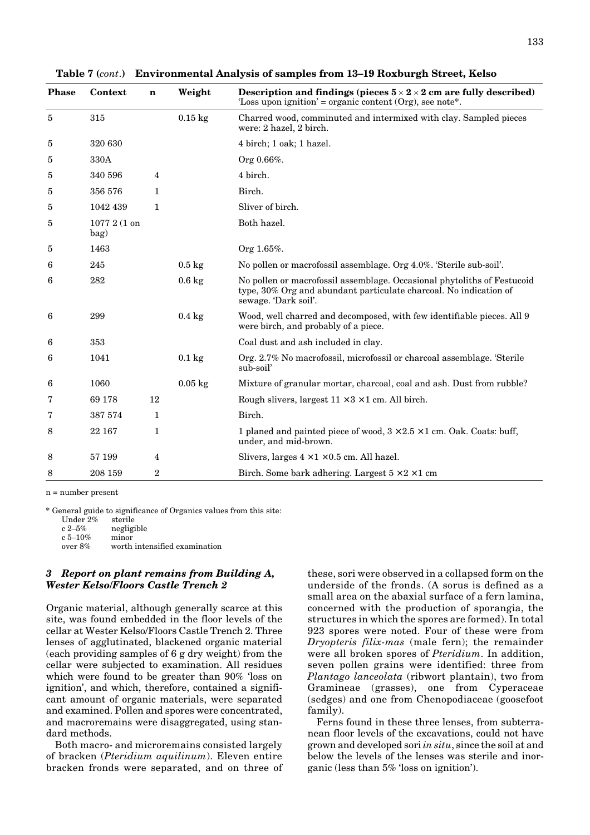| <b>Phase</b> | Context              | $\mathbf n$    | Weight             | Description and findings (pieces $5 \times 2 \times 2$ cm are fully described)<br>'Loss upon ignition' = organic content $(Org)$ , see note*.                        |
|--------------|----------------------|----------------|--------------------|----------------------------------------------------------------------------------------------------------------------------------------------------------------------|
| 5            | 315                  |                | $0.15$ kg          | Charred wood, comminuted and intermixed with clay. Sampled pieces<br>were: 2 hazel, 2 birch.                                                                         |
| 5            | 320 630              |                |                    | 4 birch; 1 oak; 1 hazel.                                                                                                                                             |
| 5            | 330A                 |                |                    | Org 0.66%.                                                                                                                                                           |
| 5            | 340 596              | $\overline{4}$ |                    | 4 birch.                                                                                                                                                             |
| 5            | 356 576              | 1              |                    | Birch.                                                                                                                                                               |
| 5            | 1042 439             | $\mathbf{1}$   |                    | Sliver of birch.                                                                                                                                                     |
| 5            | 1077 2 (1 on<br>bag) |                |                    | Both hazel.                                                                                                                                                          |
| 5            | 1463                 |                |                    | Org 1.65%.                                                                                                                                                           |
| 6            | 245                  |                | $0.5 \text{ kg}$   | No pollen or macrofossil assemblage. Org 4.0%. 'Sterile sub-soil'.                                                                                                   |
| 6            | 282                  |                | $0.6\ \mathrm{kg}$ | No pollen or macrofossil assemblage. Occasional phytoliths of Festucoid<br>type, 30% Org and abundant particulate charcoal. No indication of<br>sewage. 'Dark soil'. |
| 6            | 299                  |                | $0.4\ \mathrm{kg}$ | Wood, well charred and decomposed, with few identifiable pieces. All 9<br>were birch, and probably of a piece.                                                       |
| 6            | 353                  |                |                    | Coal dust and ash included in clay.                                                                                                                                  |
| 6            | 1041                 |                | $0.1 \text{ kg}$   | Org. 2.7% No macrofossil, microfossil or charcoal assemblage. 'Sterile<br>sub-soil'                                                                                  |
| 6            | 1060                 |                | $0.05$ kg          | Mixture of granular mortar, charcoal, coal and ash. Dust from rubble?                                                                                                |
| 7            | 69 178               | 12             |                    | Rough slivers, largest $11 \times 3 \times 1$ cm. All birch.                                                                                                         |
| 7            | 387 574              | 1              |                    | Birch.                                                                                                                                                               |
| 8            | 22 167               | 1              |                    | 1 planed and painted piece of wood, $3 \times 2.5 \times 1$ cm. Oak. Coats: buff,<br>under, and mid-brown.                                                           |
| 8            | 57 199               | 4              |                    | Slivers, larges $4 \times 1 \times 0.5$ cm. All hazel.                                                                                                               |
| 8            | 208 159              | $\overline{2}$ |                    | Birch. Some bark adhering. Largest $5 \times 2 \times 1$ cm                                                                                                          |

<span id="page-2-0"></span>

| Table 7 (cont.) Environmental Analysis of samples from 13-19 Roxburgh Street, Kelso |  |  |
|-------------------------------------------------------------------------------------|--|--|
|                                                                                     |  |  |

n = number present

\* General guide to significance of Organics values from this site:

| Under $2\%$ | sterile    |
|-------------|------------|
| $c2 - 5%$   | negligible |
| c 5–10%     | minor      |

over 8% worth intensified examination

### *3 Report on plant remains from Building A, Wester Kelso/Floors Castle Trench 2*

Organic material, although generally scarce at this site, was found embedded in the floor levels of the cellar at Wester Kelso/Floors Castle Trench 2. Three lenses of agglutinated, blackened organic material (each providing samples of 6 g dry weight) from the cellar were subjected to examination. All residues which were found to be greater than 90% 'loss on ignition', and which, therefore, contained a significant amount of organic materials, were separated and examined. Pollen and spores were concentrated, and macroremains were disaggregated, using standard methods.

Both macro- and microremains consisted largely of bracken (*Pteridium aquilinum*). Eleven entire bracken fronds were separated, and on three of these, sori were observed in a collapsed form on the underside of the fronds. (A sorus is defined as a small area on the abaxial surface of a fern lamina, concerned with the production of sporangia, the structures in which the spores are formed). In total 923 spores were noted. Four of these were from *Dryopteris filix-mas* (male fern); the remainder were all broken spores of *Pteridium*. In addition, seven pollen grains were identified: three from *Plantago lanceolata* (ribwort plantain), two from Gramineae (grasses), one from Cyperaceae (sedges) and one from Chenopodiaceae (goosefoot family).

Ferns found in these three lenses, from subterranean floor levels of the excavations, could not have grown and developed sori *in situ*, since the soil at and below the levels of the lenses was sterile and inorganic (less than 5% 'loss on ignition').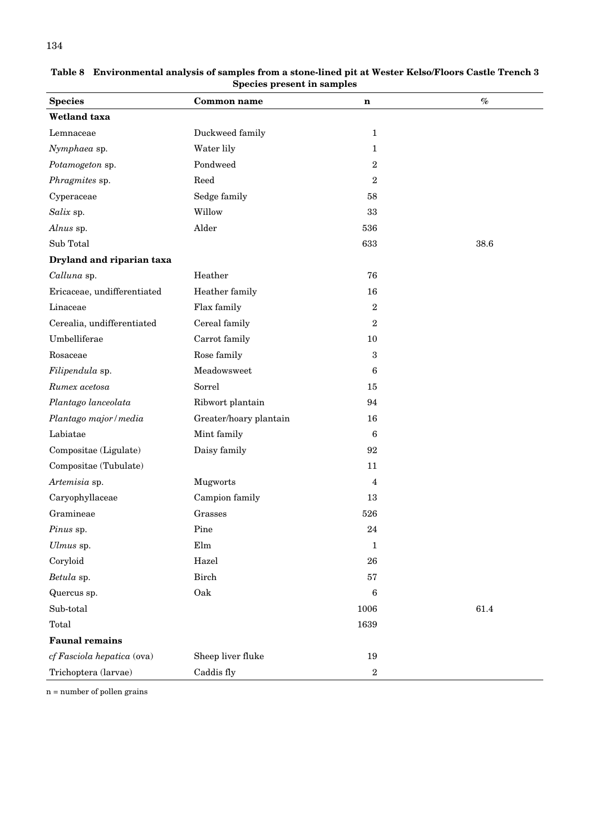| <b>Common name</b><br>$\mathbf n$<br>Duckweed family<br>1<br>Water lily<br>1<br>Pondweed<br>2<br>Reed<br>$\boldsymbol{2}$<br>Sedge family<br>58<br>Willow<br>33<br>Alder<br>536<br>633<br>38.6<br>Heather<br>76<br>Heather family<br>16<br>Flax family<br>$\boldsymbol{2}$<br>Cereal family<br>$\boldsymbol{2}$<br>Umbelliferae<br>Carrot family<br>10<br>Rose family<br>3<br>Meadowsweet<br>6<br>Sorrel<br>15<br>Ribwort plantain<br>94<br>Greater/hoary plantain<br>16<br>$6\phantom{.}6$ | opecies present in samples  |             |  |                       |  |  |
|---------------------------------------------------------------------------------------------------------------------------------------------------------------------------------------------------------------------------------------------------------------------------------------------------------------------------------------------------------------------------------------------------------------------------------------------------------------------------------------------|-----------------------------|-------------|--|-----------------------|--|--|
|                                                                                                                                                                                                                                                                                                                                                                                                                                                                                             | <b>Species</b>              |             |  | $\emph{v}_{\emph{0}}$ |  |  |
|                                                                                                                                                                                                                                                                                                                                                                                                                                                                                             | Wetland taxa                |             |  |                       |  |  |
|                                                                                                                                                                                                                                                                                                                                                                                                                                                                                             | Lemnaceae                   |             |  |                       |  |  |
|                                                                                                                                                                                                                                                                                                                                                                                                                                                                                             | Nymphaea sp.                |             |  |                       |  |  |
|                                                                                                                                                                                                                                                                                                                                                                                                                                                                                             | Potamogeton sp.             |             |  |                       |  |  |
|                                                                                                                                                                                                                                                                                                                                                                                                                                                                                             | Phragmites sp.              |             |  |                       |  |  |
|                                                                                                                                                                                                                                                                                                                                                                                                                                                                                             | Cyperaceae                  |             |  |                       |  |  |
|                                                                                                                                                                                                                                                                                                                                                                                                                                                                                             | Salix sp.                   |             |  |                       |  |  |
|                                                                                                                                                                                                                                                                                                                                                                                                                                                                                             | Alnus sp.                   |             |  |                       |  |  |
|                                                                                                                                                                                                                                                                                                                                                                                                                                                                                             | Sub Total                   |             |  |                       |  |  |
|                                                                                                                                                                                                                                                                                                                                                                                                                                                                                             | Dryland and riparian taxa   |             |  |                       |  |  |
|                                                                                                                                                                                                                                                                                                                                                                                                                                                                                             | Calluna sp.                 |             |  |                       |  |  |
|                                                                                                                                                                                                                                                                                                                                                                                                                                                                                             | Ericaceae, undifferentiated |             |  |                       |  |  |
|                                                                                                                                                                                                                                                                                                                                                                                                                                                                                             | Linaceae                    |             |  |                       |  |  |
|                                                                                                                                                                                                                                                                                                                                                                                                                                                                                             | Cerealia, undifferentiated  |             |  |                       |  |  |
|                                                                                                                                                                                                                                                                                                                                                                                                                                                                                             |                             |             |  |                       |  |  |
|                                                                                                                                                                                                                                                                                                                                                                                                                                                                                             | Rosaceae                    |             |  |                       |  |  |
|                                                                                                                                                                                                                                                                                                                                                                                                                                                                                             | Filipendula sp.             |             |  |                       |  |  |
|                                                                                                                                                                                                                                                                                                                                                                                                                                                                                             | Rumex acetosa               |             |  |                       |  |  |
|                                                                                                                                                                                                                                                                                                                                                                                                                                                                                             | Plantago lanceolata         |             |  |                       |  |  |
|                                                                                                                                                                                                                                                                                                                                                                                                                                                                                             | Plantago major / media      |             |  |                       |  |  |
|                                                                                                                                                                                                                                                                                                                                                                                                                                                                                             | Labiatae                    | Mint family |  |                       |  |  |
| Daisy family<br>92                                                                                                                                                                                                                                                                                                                                                                                                                                                                          | Compositae (Ligulate)       |             |  |                       |  |  |
| 11                                                                                                                                                                                                                                                                                                                                                                                                                                                                                          | Compositae (Tubulate)       |             |  |                       |  |  |
| Mugworts<br>4                                                                                                                                                                                                                                                                                                                                                                                                                                                                               | Artemisia sp.               |             |  |                       |  |  |
| Campion family<br>13                                                                                                                                                                                                                                                                                                                                                                                                                                                                        | Caryophyllaceae             |             |  |                       |  |  |
| Grasses<br>526                                                                                                                                                                                                                                                                                                                                                                                                                                                                              | Gramineae                   |             |  |                       |  |  |
| $\ensuremath{\mathrm{Pine}}$<br>24                                                                                                                                                                                                                                                                                                                                                                                                                                                          | Pinus sp.                   |             |  |                       |  |  |
| Elm<br>$\mathbf{1}$                                                                                                                                                                                                                                                                                                                                                                                                                                                                         | Ulmus sp.                   |             |  |                       |  |  |
| Hazel<br>${\bf 26}$                                                                                                                                                                                                                                                                                                                                                                                                                                                                         | Coryloid                    |             |  |                       |  |  |
| ${\rm Birch}$<br>57                                                                                                                                                                                                                                                                                                                                                                                                                                                                         | Betula sp.                  |             |  |                       |  |  |
| Oak<br>6                                                                                                                                                                                                                                                                                                                                                                                                                                                                                    | Quercus sp.                 |             |  |                       |  |  |
| 1006<br>61.4                                                                                                                                                                                                                                                                                                                                                                                                                                                                                | Sub-total                   |             |  |                       |  |  |
| 1639                                                                                                                                                                                                                                                                                                                                                                                                                                                                                        | Total                       |             |  |                       |  |  |
|                                                                                                                                                                                                                                                                                                                                                                                                                                                                                             | <b>Faunal remains</b>       |             |  |                       |  |  |
| Sheep liver fluke<br>19                                                                                                                                                                                                                                                                                                                                                                                                                                                                     | cf Fasciola hepatica (ova)  |             |  |                       |  |  |
| $\boldsymbol{2}$<br>Caddis fly                                                                                                                                                                                                                                                                                                                                                                                                                                                              | Trichoptera (larvae)        |             |  |                       |  |  |

<span id="page-3-0"></span>**Table 8 Environmental analysis of samples from a stone-lined pit at Wester Kelso/Floors Castle Trench 3 Species present in samples**

n = number of pollen grains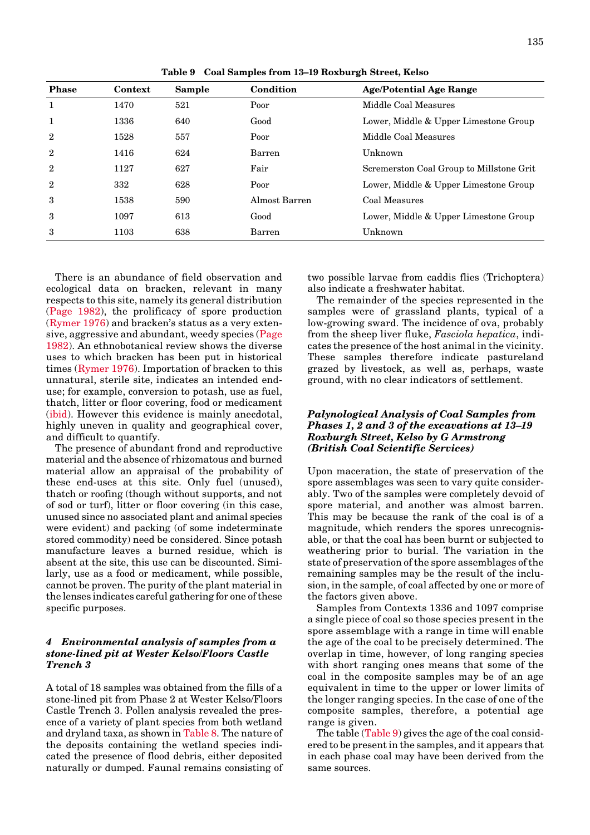| <b>Phase</b>   | Context | <b>Sample</b> | Condition     | <b>Age/Potential Age Range</b>           |
|----------------|---------|---------------|---------------|------------------------------------------|
| 1              | 1470    | 521           | Poor          | Middle Coal Measures                     |
| 1              | 1336    | 640           | Good          | Lower, Middle & Upper Limestone Group    |
| $\overline{2}$ | 1528    | 557           | Poor          | Middle Coal Measures                     |
| $\overline{2}$ | 1416    | 624           | Barren        | Unknown                                  |
| $\overline{2}$ | 1127    | 627           | Fair          | Scremerston Coal Group to Millstone Grit |
| $\overline{2}$ | 332     | 628           | Poor          | Lower, Middle & Upper Limestone Group    |
| 3              | 1538    | 590           | Almost Barren | Coal Measures                            |
| 3              | 1097    | 613           | Good          | Lower, Middle & Upper Limestone Group    |
| 3              | 1103    | 638           | Barren        | Unknown                                  |

**Table 9 Coal Samples from 13–19 Roxburgh Street, Kelso**

There is an abundance of field observation and ecological data on bracken, relevant in many respects to this site, namely its general distribution [\(Page 1982\),](#page-2-0) the prolificacy of spore production [\(Rymer 1976\) a](#page-2-0)nd bracken's status as a very extensive, aggressive and abundant, weedy specie[s \(Page](#page-2-0) [1982\).](#page-2-0) An ethnobotanical review shows the diverse uses to which bracken has been put in historical times [\(Rymer 1976\).](#page-2-0) Importation of bracken to this unnatural, sterile site, indicates an intended enduse; for example, conversion to potash, use as fuel, thatch, litter or floor covering, food or medicament [\(ibid\).](#page-2-0) However this evidence is mainly anecdotal, highly uneven in quality and geographical cover, and difficult to quantify.

The presence of abundant frond and reproductive material and the absence of rhizomatous and burned material allow an appraisal of the probability of these end-uses at this site. Only fuel (unused), thatch or roofing (though without supports, and not of sod or turf), litter or floor covering (in this case, unused since no associated plant and animal species were evident) and packing (of some indeterminate stored commodity) need be considered. Since potash manufacture leaves a burned residue, which is absent at the site, this use can be discounted. Similarly, use as a food or medicament, while possible, cannot be proven. The purity of the plant material in the lenses indicates careful gathering for one of these specific purposes.

#### *4 Environmental analysis of samples from a stone-lined pit at Wester Kelso/Floors Castle Trench 3*

A total of 18 samples was obtained from the fills of a stone-lined pit from Phase 2 at Wester Kelso/Floors Castle Trench 3. Pollen analysis revealed the presence of a variety of plant species from both wetland and dryland taxa, as shown in [Table 8. T](#page-3-0)he nature of the deposits containing the wetland species indicated the presence of flood debris, either deposited naturally or dumped. Faunal remains consisting of two possible larvae from caddis flies (Trichoptera) also indicate a freshwater habitat.

The remainder of the species represented in the samples were of grassland plants, typical of a low-growing sward. The incidence of ova, probably from the sheep liver fluke, *Fasciola hepatica*, indicates the presence of the host animal in the vicinity. These samples therefore indicate pastureland grazed by livestock, as well as, perhaps, waste ground, with no clear indicators of settlement.

#### *Palynological Analysis of Coal Samples from Phases 1, 2 and 3 of the excavations at 13–19 Roxburgh Street, Kelso by G Armstrong (British Coal Scientific Services)*

Upon maceration, the state of preservation of the spore assemblages was seen to vary quite considerably. Two of the samples were completely devoid of spore material, and another was almost barren. This may be because the rank of the coal is of a magnitude, which renders the spores unrecognisable, or that the coal has been burnt or subjected to weathering prior to burial. The variation in the state of preservation of the spore assemblages of the remaining samples may be the result of the inclusion, in the sample, of coal affected by one or more of the factors given above.

Samples from Contexts 1336 and 1097 comprise a single piece of coal so those species present in the spore assemblage with a range in time will enable the age of the coal to be precisely determined. The overlap in time, however, of long ranging species with short ranging ones means that some of the coal in the composite samples may be of an age equivalent in time to the upper or lower limits of the longer ranging species. In the case of one of the composite samples, therefore, a potential age range is given.

The table (Table 9) gives the age of the coal considered to be present in the samples, and it appears that in each phase coal may have been derived from the same sources.